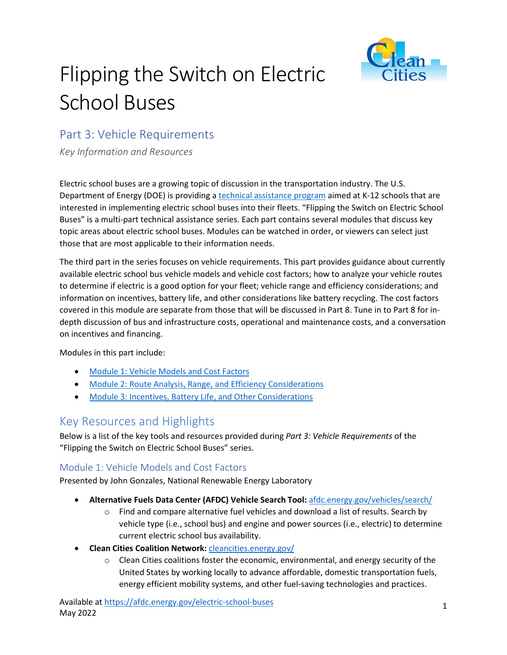

# Flipping the Switch on Electric School Buses

## Part 3: Vehicle Requirements

*Key Information and Resources*

Electric school buses are a growing topic of discussion in the transportation industry. The U.S. Department of Energy (DOE) is providing a technical assistance program aimed at K-12 schools that are interested in implementing electric school buses into their fleets. "Flipping the Switch on Electric School Buses" is a multi-part technical assistance series. Each part contains several modules that discuss key topic areas about electric school buses. Modules can be watched in order, or viewers can select just those that are most applicable to their information needs.

The third part in the series focuses on vehicle requirements. This part provides guidance about currently available electric school bus vehicle models and vehicle cost factors; how to analyze your vehicle routes to determine if electric is a good option for your fleet; vehicle range and efficiency considerations; and information on incentives, battery life, and other considerations like battery recycling. The cost factors covered in this module are separate from those that will be discussed in Part 8. Tune in to Part 8 for indepth discussion of bus and infrastructure costs, operational and maintenance costs, and a conversation on incentives and financing.

Modules in this part include:

- Module 1: Vehicle Models and Cost Factors
- Module 2: Route Analysis, Range, and Efficiency Considerations
- Module 3: Incentives, Battery Life, and Other Considerations

### Key Resources and Highlights

Below is a list of the key tools and resources provided during *Part 3: Vehicle Requirements* of the "Flipping the Switch on Electric School Buses" series.

#### Module 1: Vehicle Models and Cost Factors

Presented by John Gonzales, National Renewable Energy Laboratory

- **Alternative Fuels Data Center (AFDC) Vehicle Search Tool:** afdc.energy.gov/vehicles/search/
	- $\circ$  Find and compare alternative fuel vehicles and download a list of results. Search by vehicle type (i.e., school bus) and engine and power sources (i.e., electric) to determine current electric school bus availability.
- **Clean Cities Coalition Network:** cleancities.energy.gov/
	- $\circ$  Clean Cities coalitions foster the economic, environmental, and energy security of the United States by working locally to advance affordable, domestic transportation fuels, energy efficient mobility systems, and other fuel-saving technologies and practices.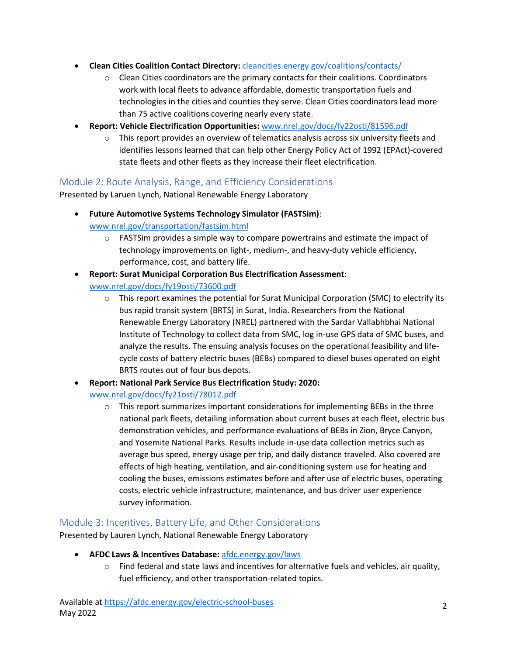- **Clean Cities Coalition Contact Directory:** [cleancities.energy.gov/coalitions/contacts/](https://cleancities.energy.gov/coalitions/contacts/)
	- $\circ$  Clean Cities coordinators are the primary contacts for their coalitions. Coordinators work with local fleets to advance affordable, domestic transportation fuels and technologies in the cities and counties they serve. Clean Cities coordinators lead more than 75 active coalitions covering nearly every state.
- **Report: Vehicle Electrification Opportunities:** [www.nrel.gov/docs/fy22osti/81596.pdf](https://www.nrel.gov/docs/fy22osti/81596.pdf)
	- o This report provides an overview of telematics analysis across six university fleets and identifies lessons learned that can help other Energy Policy Act of 1992 (EPAct)-covered state fleets and other fleets as they increase their fleet electrification.

#### Module 2: Route Analysis, Range, and Efficiency Considerations

Presented by Laruen Lynch, National Renewable Energy Laboratory

- **Future Automotive Systems Technology Simulator (FASTSim)**: [www.nrel.gov/transportation/fastsim.html](https://www.nrel.gov/transportation/fastsim)
	- $\circ$  FASTS im provides a simple way to compare powertrains and estimate the impact of technology improvements on light-, medium-, and heavy-duty vehicle efficiency, performance, cost, and battery life.
- **Report: Surat Municipal Corporation Bus Electrification Assessment**: [www.nrel.gov/docs/fy19osti/73600.pdf](https://www.nrel.gov/docs/fy19osti/73600.pdf)
	- $\circ$  This report examines the potential for Surat Municipal Corporation (SMC) to electrify its bus rapid transit system (BRTS) in Surat, India. Researchers from the National Renewable Energy Laboratory (NREL) partnered with the Sardar Vallabhbhai National Institute of Technology to collect data from SMC, log in-use GPS data of SMC buses, and analyze the results. The ensuing analysis focuses on the operational feasibility and lifecycle costs of battery electric buses (BEBs) compared to diesel buses operated on eight BRTS routes out of four bus depots.
- **Report: National Park Service Bus Electrification Study: 2020:** 
	- [www.nrel.gov/docs/fy21osti/78012.pdf](https://www.nrel.gov/docs/fy21osti/78012.pdf)
		- $\circ$  This report summarizes important considerations for implementing BEBs in the three national park fleets, detailing information about current buses at each fleet, electric bus demonstration vehicles, and performance evaluations of BEBs in Zion, Bryce Canyon, and Yosemite National Parks. Results include in-use data collection metrics such as average bus speed, energy usage per trip, and daily distance traveled. Also covered are effects of high heating, ventilation, and air-conditioning system use for heating and cooling the buses, emissions estimates before and after use of electric buses, operating costs, electric vehicle infrastructure, maintenance, and bus driver user experience survey information.

#### Module 3: Incentives, Battery Life, and Other Considerations

Presented by Lauren Lynch, National Renewable Energy Laboratory

- **AFDC Laws & Incentives Database:** [afdc.energy.gov/laws](https://afdc.energy.gov/laws)
	- $\circ$  Find federal and state laws and incentives for alternative fuels and vehicles, air quality, fuel efficiency, and other transportation-related topics.